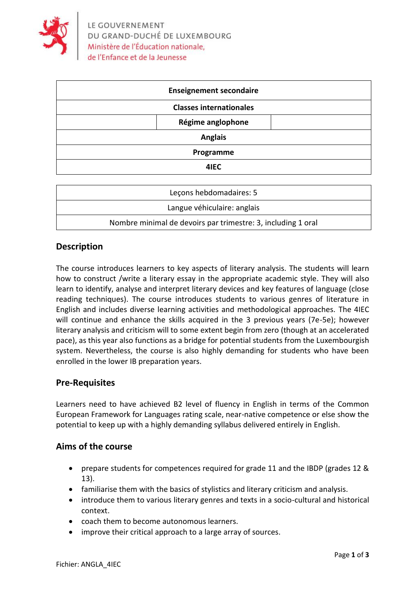

| <b>Enseignement secondaire</b> |                   |  |
|--------------------------------|-------------------|--|
| <b>Classes internationales</b> |                   |  |
|                                | Régime anglophone |  |
| <b>Anglais</b>                 |                   |  |
| Programme                      |                   |  |
|                                | 4IEC              |  |

| Lecons hebdomadaires: 5                                      |  |
|--------------------------------------------------------------|--|
| Langue véhiculaire: anglais                                  |  |
| Nombre minimal de devoirs par trimestre: 3, including 1 oral |  |

# **Description**

The course introduces learners to key aspects of literary analysis. The students will learn how to construct /write a literary essay in the appropriate academic style. They will also learn to identify, analyse and interpret literary devices and key features of language (close reading techniques). The course introduces students to various genres of literature in English and includes diverse learning activities and methodological approaches. The 4IEC will continue and enhance the skills acquired in the 3 previous years (7e-5e); however literary analysis and criticism will to some extent begin from zero (though at an accelerated pace), as this year also functions as a bridge for potential students from the Luxembourgish system. Nevertheless, the course is also highly demanding for students who have been enrolled in the lower IB preparation years.

### **Pre-Requisites**

Learners need to have achieved B2 level of fluency in English in terms of the Common European Framework for Languages rating scale, near-native competence or else show the potential to keep up with a highly demanding syllabus delivered entirely in English.

### **Aims of the course**

- prepare students for competences required for grade 11 and the IBDP (grades 12 & 13).
- familiarise them with the basics of stylistics and literary criticism and analysis.
- introduce them to various literary genres and texts in a socio-cultural and historical context.
- coach them to become autonomous learners.
- improve their critical approach to a large array of sources.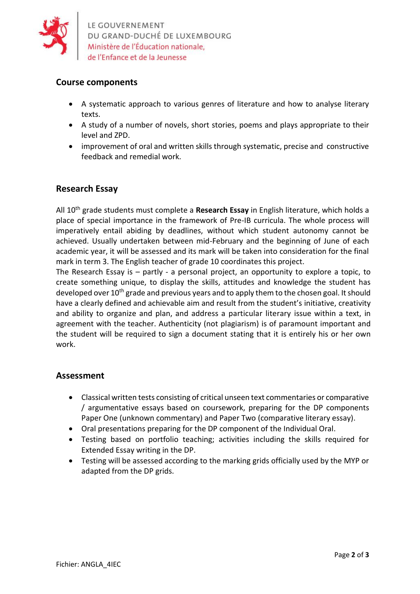

LE GOUVERNEMENT DU GRAND-DUCHÉ DE LUXEMBOURG<br>Ministère de l'Éducation nationale,

## **Course components**

- A systematic approach to various genres of literature and how to analyse literary texts.
- A study of a number of novels, short stories, poems and plays appropriate to their level and ZPD.
- improvement of oral and written skills through systematic, precise and constructive feedback and remedial work.

### **Research Essay**

All 10th grade students must complete a **Research Essay** in English literature, which holds a place of special importance in the framework of Pre-IB curricula. The whole process will imperatively entail abiding by deadlines, without which student autonomy cannot be achieved. Usually undertaken between mid-February and the beginning of June of each academic year, it will be assessed and its mark will be taken into consideration for the final mark in term 3. The English teacher of grade 10 coordinates this project.

The Research Essay is – partly - a personal project, an opportunity to explore a topic, to create something unique, to display the skills, attitudes and knowledge the student has developed over  $10<sup>th</sup>$  grade and previous years and to apply them to the chosen goal. It should have a clearly defined and achievable aim and result from the student's initiative, creativity and ability to organize and plan, and address a particular literary issue within a text, in agreement with the teacher. Authenticity (not plagiarism) is of paramount important and the student will be required to sign a document stating that it is entirely his or her own work.

### **Assessment**

- Classical written tests consisting of critical unseen text commentaries or comparative / argumentative essays based on coursework, preparing for the DP components Paper One (unknown commentary) and Paper Two (comparative literary essay).
- Oral presentations preparing for the DP component of the Individual Oral.
- Testing based on portfolio teaching; activities including the skills required for Extended Essay writing in the DP.
- Testing will be assessed according to the marking grids officially used by the MYP or adapted from the DP grids.